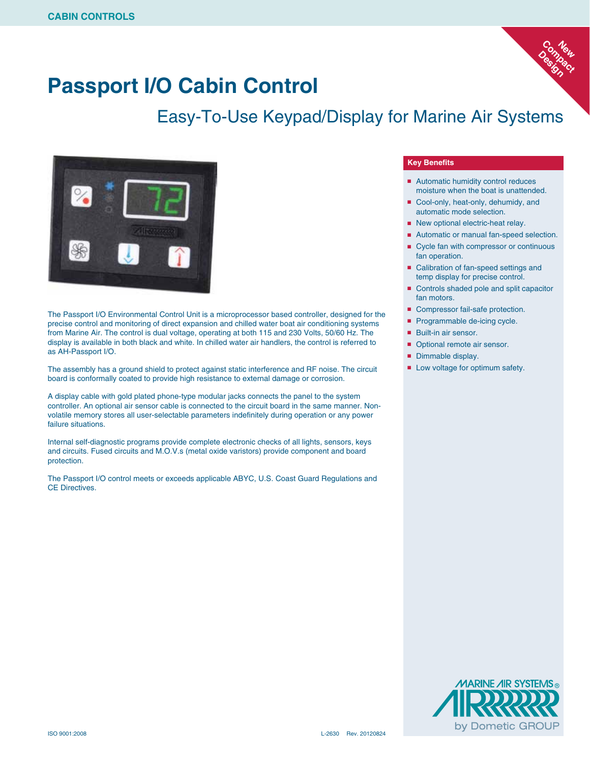

## **Passport I/O Cabin Control**

### Easy-To-Use Keypad/Display for Marine Air Systems



The Passport I/O Environmental Control Unit is a microprocessor based controller, designed for the precise control and monitoring of direct expansion and chilled water boat air conditioning systems from Marine Air. The control is dual voltage, operating at both 115 and 230 Volts, 50/60 Hz. The display is available in both black and white. In chilled water air handlers, the control is referred to as AH-Passport I/O.

The assembly has a ground shield to protect against static interference and RF noise. The circuit board is conformally coated to provide high resistance to external damage or corrosion.

A display cable with gold plated phone-type modular jacks connects the panel to the system controller. An optional air sensor cable is connected to the circuit board in the same manner. Nonvolatile memory stores all user-selectable parameters indefinitely during operation or any power failure situations.

Internal self-diagnostic programs provide complete electronic checks of all lights, sensors, keys and circuits. Fused circuits and M.O.V.s (metal oxide varistors) provide component and board protection.

The Passport I/O control meets or exceeds applicable ABYC, U.S. Coast Guard Regulations and CE Directives.

#### **Key Benefits**

- Automatic humidity control reduces moisture when the boat is unattended.
- Cool-only, heat-only, dehumidy, and automatic mode selection.
- New optional electric-heat relay.
- Automatic or manual fan-speed selection. Cycle fan with compressor or continuous fan operation.
- Calibration of fan-speed settings and temp display for precise control.
- Controls shaded pole and split capacitor fan motors.
- Compressor fail-safe protection.
- Programmable de-icing cycle.
- Built-in air sensor.
- Optional remote air sensor.
- Dimmable display.
- Low voltage for optimum safety.